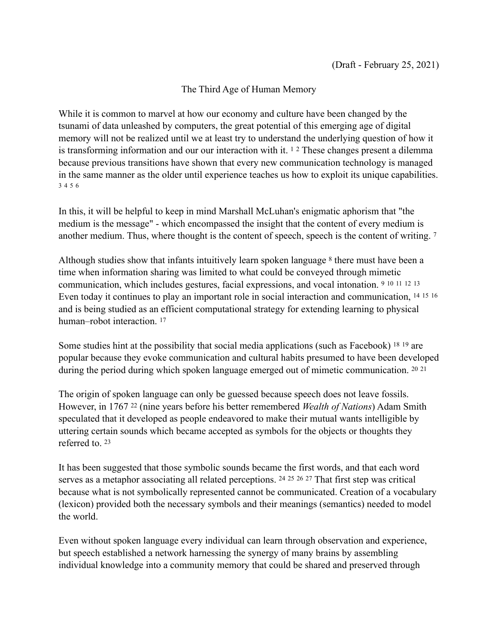## <span id="page-0-18"></span><span id="page-0-17"></span><span id="page-0-15"></span><span id="page-0-14"></span><span id="page-0-13"></span><span id="page-0-12"></span><span id="page-0-11"></span><span id="page-0-10"></span><span id="page-0-9"></span><span id="page-0-8"></span><span id="page-0-7"></span><span id="page-0-6"></span><span id="page-0-1"></span><span id="page-0-0"></span>The Third Age of Human Memory

While it is common to marvel at how our economy and culture have been changed by the tsunami of data unleashed by computers, the great potential of this emerging age of digital memory will not be realized until we at least try to understand the underlying question of how it istransforming information and our our interaction with it.  $12$  $12$  These changes present a dilemma because previous transitions have shown that every new communication technology is managed in the same manner as the older until experience teaches us how to exploit its unique capabilities. [3](#page-7-2) [4](#page-7-3) [5](#page-7-4) [6](#page-7-5)

<span id="page-0-5"></span><span id="page-0-4"></span><span id="page-0-3"></span><span id="page-0-2"></span>In this, it will be helpful to keep in mind Marshall McLuhan's enigmatic aphorism that "the medium is the message" - which encompassed the insight that the content of every medium is another medium. Thus, where thought is the content of speech, speech is the content of writing. [7](#page-7-6)

Althoughstudies show that infants intuitively learn spoken language  $\delta$  there must have been a time when information sharing was limited to what could be conveyed through mimetic communication, which includes gestures, facial expressions, and vocal intonation. [9](#page-7-8) [10](#page-7-9) [11](#page-7-10) [12](#page-7-11) [13](#page-7-12) Even today it continues to play an important role in social interaction and communication, [14](#page-7-13) [15](#page-7-14) [16](#page-7-15) and is being studied as an efficient computational strategy for extending learning to physical human–robot interaction.<sup>17</sup>

<span id="page-0-20"></span><span id="page-0-19"></span><span id="page-0-16"></span>Some studies hint at the possibility that social media applications (such as Facebook)  $18\frac{19}{19}$  $18\frac{19}{19}$  are popular because they evoke communication and cultural habits presumed to have been developed during the period during which spoken language emerged out of mimetic communication. [20](#page-8-3) [21](#page-8-4)

<span id="page-0-21"></span>The origin of spoken language can only be guessed because speech does not leave fossils. However, in 1767<sup>22</sup> (nine years before his better remembered *Wealth of Nations*) Adam Smith speculated that it developed as people endeavored to make their mutual wants intelligible by uttering certain sounds which became accepted as symbols for the objects or thoughts they referred to. [23](#page-8-6)

<span id="page-0-26"></span><span id="page-0-25"></span><span id="page-0-24"></span><span id="page-0-23"></span><span id="page-0-22"></span>It has been suggested that those symbolic sounds became the first words, and that each word serves as a metaphor associating all related perceptions.  $24\,25\,26\,27$  $24\,25\,26\,27$  That first step was critical because what is not symbolically represented cannot be communicated. Creation of a vocabulary (lexicon) provided both the necessary symbols and their meanings (semantics) needed to model the world.

Even without spoken language every individual can learn through observation and experience, but speech established a network harnessing the synergy of many brains by assembling individual knowledge into a community memory that could be shared and preserved through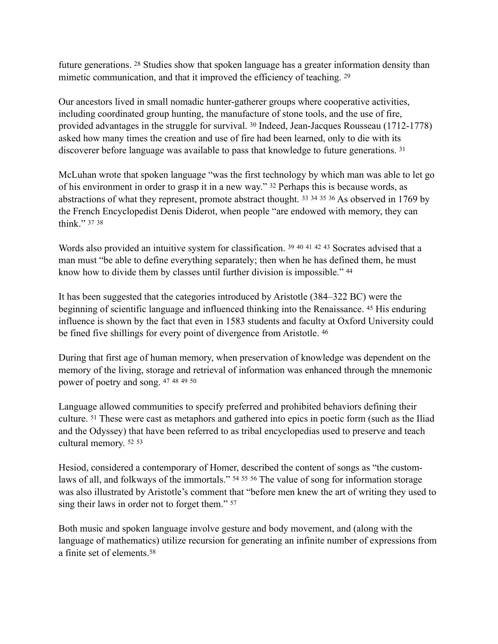<span id="page-1-1"></span><span id="page-1-0"></span>future generations.  $28$  Studies show that spoken language has a greater information density than mimetic communication, and that it improved the efficiency of teaching. <sup>[29](#page-8-12)</sup>

<span id="page-1-2"></span>Our ancestors lived in small nomadic hunter-gatherer groups where cooperative activities, including coordinated group hunting, the manufacture of stone tools, and the use of fire, providedadvantages in the struggle for survival. <sup>[30](#page-8-13)</sup> Indeed, Jean-Jacques Rousseau (1712-1778) asked how many times the creation and use of fire had been learned, only to die with its discoverer before language was available to pass that knowledge to future generations. [31](#page-8-14)

<span id="page-1-8"></span><span id="page-1-7"></span><span id="page-1-6"></span><span id="page-1-5"></span><span id="page-1-4"></span><span id="page-1-3"></span>McLuhan wrote that spoken language "was the first technology by which man was able to let go of his environment in order to grasp it in a new way." <sup>[32](#page-9-0)</sup> Perhaps this is because words, as abstractionsof what they represent, promote abstract thought.  $33\frac{34\frac{35\frac{36}{35\frac{36}{15\frac{135\frac{368}{15}}}{10}}{1769 \text{ by }35\frac{35}{15\frac{135\frac{364}{15\frac{135\frac{364}{15\frac{135\frac{364}{15\frac{135\frac{364}{15\frac{135\frac{364}{15\frac{135\frac{364}{1$  $33\frac{34\frac{35\frac{36}{35\frac{36}{15\frac{135\frac{368}{15}}}{10}}{1769 \text{ by }35\frac{35}{15\frac{135\frac{364}{15\frac{135\frac{364}{15\frac{135\frac{364}{15\frac{135\frac{364}{15\frac{135\frac{364}{15\frac{135\frac{364}{1$ the French Encyclopedist Denis Diderot, when people "are endowed with memory, they can think." [37](#page-9-5) [38](#page-9-6)

<span id="page-1-16"></span><span id="page-1-15"></span><span id="page-1-14"></span><span id="page-1-13"></span><span id="page-1-12"></span><span id="page-1-11"></span><span id="page-1-10"></span><span id="page-1-9"></span>Words also provided an intuitive system for classification. [39](#page-9-7) 40 41 42 43 Socrates advised that a man must "be able to define everything separately; then when he has defined them, he must know how to divide them by classes until further division is impossible." [44](#page-9-12)

<span id="page-1-17"></span>It has been suggested that the categories introduced by Aristotle (384–322 BC) were the beginning of scientific language and influenced thinking into the Renaissance. <sup>[45](#page-9-13)</sup> His enduring influence is shown by the fact that even in 1583 students and faculty at Oxford University could be fined five shillings for every point of divergence from Aristotle. [46](#page-9-14)

<span id="page-1-19"></span><span id="page-1-18"></span>During that first age of human memory, when preservation of knowledge was dependent on the memory of the living, storage and retrieval of information was enhanced through the mnemonic power of poetry and song. [47](#page-9-15) [48](#page-9-16) [49](#page-10-0) [50](#page-10-1)

<span id="page-1-23"></span><span id="page-1-22"></span><span id="page-1-21"></span><span id="page-1-20"></span>Language allowed communities to specify preferred and prohibited behaviors defining their culture.<sup>[51](#page-10-2)</sup> These were cast as metaphors and gathered into epics in poetic form (such as the Iliad and the Odyssey) that have been referred to as tribal encyclopedias used to preserve and teach cultural memory. [52](#page-10-3) [53](#page-10-4)

<span id="page-1-28"></span><span id="page-1-27"></span><span id="page-1-26"></span><span id="page-1-25"></span><span id="page-1-24"></span>Hesiod, considered a contemporary of Homer, described the content of songs as "the custom-laws of all, and folkways of the immortals." <sup>[54](#page-10-5) 55</sup> 56 The value of song for information storage was also illustrated by Aristotle's comment that "before men knew the art of writing they used to sing their laws in order not to forget them." [57](#page-10-8)

<span id="page-1-30"></span><span id="page-1-29"></span>Both music and spoken language involve gesture and body movement, and (along with the language of mathematics) utilize recursion for generating an infinite number of expressions from a finite set of elements.[58](#page-10-9)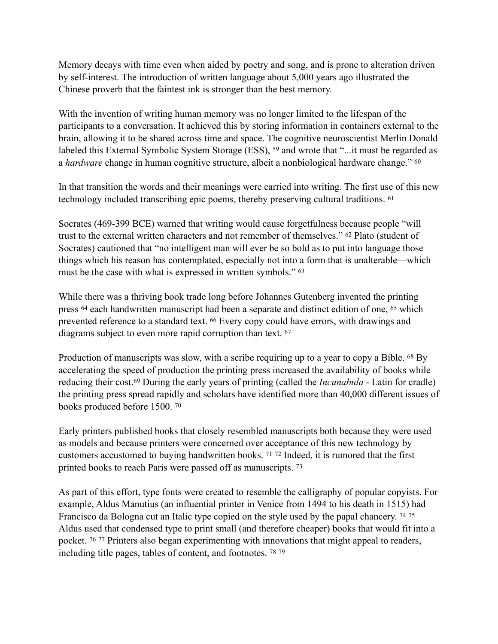Memory decays with time even when aided by poetry and song, and is prone to alteration driven by self-interest. The introduction of written language about 5,000 years ago illustrated the Chinese proverb that the faintest ink is stronger than the best memory.

<span id="page-2-0"></span>With the invention of writing human memory was no longer limited to the lifespan of the participants to a conversation. It achieved this by storing information in containers external to the brain, allowing it to be shared across time and space. The cognitive neuroscientist Merlin Donald labeledthis External Symbolic System Storage (ESS), <sup>[59](#page-10-10)</sup> and wrote that "...it must be regarded as a *hardware* change in human cognitive structure, albeit a nonbiological hardware change." [60](#page-10-11)

<span id="page-2-2"></span><span id="page-2-1"></span>In that transition the words and their meanings were carried into writing. The first use of this new technology included transcribing epic poems, thereby preserving cultural traditions. [61](#page-10-12)

<span id="page-2-3"></span>Socrates (469-399 BCE) warned that writing would cause forgetfulness because people "will trust to the external written characters and not remember of themselves." <sup>[62](#page-10-13)</sup> Plato (student of Socrates) cautioned that "no intelligent man will ever be so bold as to put into language those things which his reason has contemplated, especially not into a form that is unalterable—which must be the case with what is expressed in written symbols." [63](#page-10-14)

<span id="page-2-7"></span><span id="page-2-6"></span><span id="page-2-5"></span><span id="page-2-4"></span>While there was a thriving book trade long before Johannes Gutenberg invented the printing press<sup>[64](#page-10-15)</sup> each handwritten manuscript had been a separate and distinct edition of one, <sup>65</sup> which preventedreference to a standard text. <sup>[66](#page-10-17)</sup> Every copy could have errors, with drawings and diagrams subject to even more rapid corruption than text. [67](#page-11-0)

<span id="page-2-10"></span><span id="page-2-9"></span><span id="page-2-8"></span>Production of manuscripts was slow, with a scribe requiring up to a year to copy a Bible.  $^{68}$  $^{68}$  $^{68}$  By accelerating the speed of production the printing press increased the availability of books while reducing their cost[.](#page-11-2)<sup>69</sup> During the early years of printing (called the *Incunabula* - Latin for cradle) the printing press spread rapidly and scholars have identified more than 40,000 different issues of books produced before 1500. [70](#page-11-3)

<span id="page-2-13"></span><span id="page-2-12"></span><span id="page-2-11"></span>Early printers published books that closely resembled manuscripts both because they were used as models and because printers were concerned over acceptance of this new technology by customers accustomed to buying handwritten books. <sup>[71](#page-11-4) 72</sup> Indeed, it is rumored that the first printed books to reach Paris were passed off as manuscripts. [73](#page-11-6)

<span id="page-2-20"></span><span id="page-2-19"></span><span id="page-2-18"></span><span id="page-2-17"></span><span id="page-2-16"></span><span id="page-2-15"></span><span id="page-2-14"></span>As part of this effort, type fonts were created to resemble the calligraphy of popular copyists. For example, Aldus Manutius (an influential printer in Venice from 1494 to his death in 1515) had Francisco da Bologna cut an Italic type copied on the style used by the papal chancery. [74](#page-11-7) [75](#page-11-8) Aldus used that condensed type to print small (and therefore cheaper) books that would fit into a pocket.  $7677$  $7677$  Printers also began experimenting with innovations that might appeal to readers, including title pages, tables of content, and footnotes. [78](#page-11-11) [79](#page-11-12)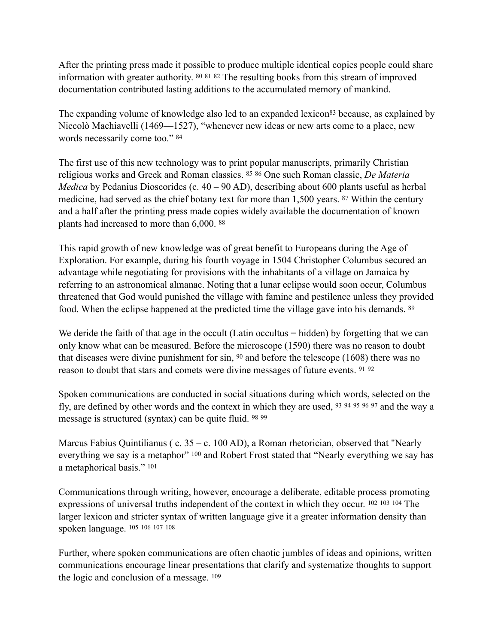<span id="page-3-2"></span><span id="page-3-1"></span><span id="page-3-0"></span>After the printing press made it possible to produce multiple identical copies people could share information with greater authority.  $80\,81\,82$  $80\,81\,82$  The resulting books from this stream of improved documentation contributed lasting additions to the accumulated memory of mankind.

<span id="page-3-4"></span><span id="page-3-3"></span>The expa[n](#page-11-16)ding volume of knowledge also led to an expanded lexicon<sup>[83](#page-11-16)</sup> because, as explained by Niccolò Machiavelli (1469—1527), "whenever new ideas or new arts come to a place, new words necessarily come too." [84](#page-11-17)

<span id="page-3-7"></span><span id="page-3-6"></span><span id="page-3-5"></span>The first use of this new technology was to print popular manuscripts, primarily Christian religious works and Greek and Roman classics. <sup>85</sup> 86 One such Roman classic, *De Materia Medica* by Pedanius Dioscorides (c. 40 – 90 AD), describing about 600 plants useful as herbal medicine, had served as the chief botany text for more than 1,500 years. <sup>[87](#page-12-2)</sup> Within the century and a half after the printing press made copies widely available the documentation of known plants had increased to more than 6,000. [88](#page-12-3)

<span id="page-3-8"></span>This rapid growth of new knowledge was of great benefit to Europeans during the Age of Exploration. For example, during his fourth voyage in 1504 Christopher Columbus secured an advantage while negotiating for provisions with the inhabitants of a village on Jamaica by referring to an astronomical almanac. Noting that a lunar eclipse would soon occur, Columbus threatened that God would punished the village with famine and pestilence unless they provided food. When the eclipse happened at the predicted time the village gave into his demands. [89](#page-12-4)

<span id="page-3-10"></span><span id="page-3-9"></span>We deride the faith of that age in the occult (Latin occultus = hidden) by forgetting that we can only know what can be measured. Before the microscope (1590) there was no reason to doubt that diseases were divine punishment for sin,  $90$  and before the telescope (1608) there was no reason to doubt that stars and comets were divine messages of future events. [91](#page-12-6) [92](#page-12-7)

<span id="page-3-19"></span><span id="page-3-18"></span><span id="page-3-17"></span><span id="page-3-16"></span><span id="page-3-15"></span><span id="page-3-14"></span><span id="page-3-13"></span><span id="page-3-12"></span><span id="page-3-11"></span>Spoken communications are conducted in social situations during which words, selected on the fly,are defined by other words and the context in which they are used,  $93\frac{94\frac{95\frac{96\frac{97}{96\frac{97}{96\frac{97}{96\frac{97}{96\frac{97}{96\frac{97}{96\frac{97}{96\frac{97}{96\frac{97}{96\frac{97}{96\frac{97}{96\frac{97}{96\frac{97}{96\frac{97}{96\frac{97}{96\frac{97}{96\frac{$  $93\frac{94\frac{95\frac{96\frac{97}{96\frac{97}{96\frac{97}{96\frac{97}{96\frac{97}{96\frac{97}{96\frac{97}{96\frac{97}{96\frac{97}{96\frac{97}{96\frac{97}{96\frac{97}{96\frac{97}{96\frac{97}{96\frac{97}{96\frac{97}{96\frac{$ message is structured (syntax) can be quite fluid. [98](#page-12-13) [99](#page-12-14)

<span id="page-3-21"></span><span id="page-3-20"></span>Marcus Fabius Quintilianus ( c.  $35 - c$ . 100 AD), a Roman rhetorician, observed that "Nearly everythingwe say is a metaphor" [100](#page-12-15) and Robert Frost stated that "Nearly everything we say has a metaphorical basis." [101](#page-12-16)

<span id="page-3-24"></span><span id="page-3-23"></span><span id="page-3-22"></span>Communications through writing, however, encourage a deliberate, editable process promoting expressionsof universal truths independent of the context in which they occur.  $102 \times 103 \times 104$  $102 \times 103 \times 104$  The larger lexicon and stricter syntax of written language give it a greater information density than spoken language. [105](#page-13-3) [106](#page-13-4) [107](#page-13-5) [108](#page-13-6)

<span id="page-3-29"></span><span id="page-3-28"></span><span id="page-3-27"></span><span id="page-3-26"></span><span id="page-3-25"></span>Further, where spoken communications are often chaotic jumbles of ideas and opinions, written communications encourage linear presentations that clarify and systematize thoughts to support the logic and conclusion of a message. [109](#page-13-7)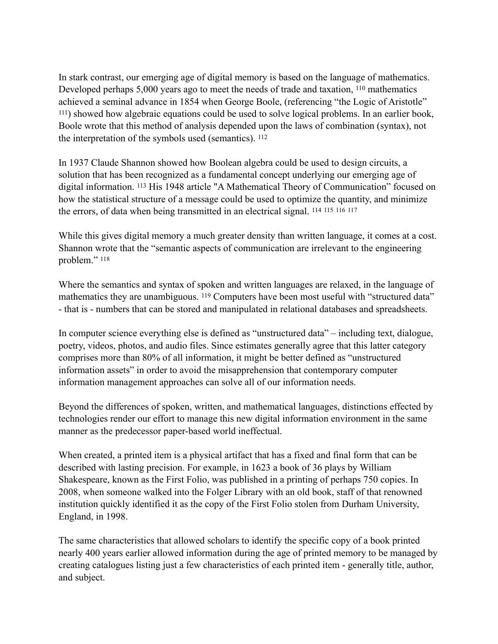<span id="page-4-1"></span><span id="page-4-0"></span>In stark contrast, our emerging age of digital memory is based on the language of mathematics. Developed perhaps  $5,000$  years ago to meet the needs of trade and taxation,  $110$  mathematics achieved a seminal advance in 1854 when George Boole, (referencing "the Logic of Aristotle" ) showed how algebraic equations could be used to solve logical problems. In an earlier book, [111](#page-13-9) Boole wrote that this method of analysis depended upon the laws of combination (syntax), not the interpretation of the symbols used (semantics). [112](#page-13-10)

<span id="page-4-3"></span><span id="page-4-2"></span>In 1937 Claude Shannon showed how Boolean algebra could be used to design circuits, a solution that has been recognized as a fundamental concept underlying our emerging age of digitalinformation. <sup>[113](#page-13-11)</sup> His 1948 article "A Mathematical Theory of Communication" focused on how the statistical structure of a message could be used to optimize the quantity, and minimize the errors, of data when being transmitted in an electrical signal. [114](#page-13-12) [115](#page-13-13) [116](#page-13-14) [117](#page-13-15)

<span id="page-4-8"></span><span id="page-4-7"></span><span id="page-4-6"></span><span id="page-4-5"></span><span id="page-4-4"></span>While this gives digital memory a much greater density than written language, it comes at a cost. Shannon wrote that the "semantic aspects of communication are irrelevant to the engineering problem." [118](#page-13-16)

<span id="page-4-9"></span>Where the semantics and syntax of spoken and written languages are relaxed, in the language of mathematics they are unambiguous. <sup>[119](#page-14-0)</sup> Computers have been most useful with "structured data" - that is - numbers that can be stored and manipulated in relational databases and spreadsheets.

In computer science everything else is defined as "unstructured data" – including text, dialogue, poetry, videos, photos, and audio files. Since estimates generally agree that this latter category comprises more than 80% of all information, it might be better defined as "unstructured information assets" in order to avoid the misapprehension that contemporary computer information management approaches can solve all of our information needs.

Beyond the differences of spoken, written, and mathematical languages, distinctions effected by technologies render our effort to manage this new digital information environment in the same manner as the predecessor paper-based world ineffectual.

When created, a printed item is a physical artifact that has a fixed and final form that can be described with lasting precision. For example, in 1623 a book of 36 plays by William Shakespeare, known as the First Folio, was published in a printing of perhaps 750 copies. In 2008, when someone walked into the Folger Library with an old book, staff of that renowned institution quickly identified it as the copy of the First Folio stolen from Durham University, England, in 1998.

The same characteristics that allowed scholars to identify the specific copy of a book printed nearly 400 years earlier allowed information during the age of printed memory to be managed by creating catalogues listing just a few characteristics of each printed item - generally title, author, and subject.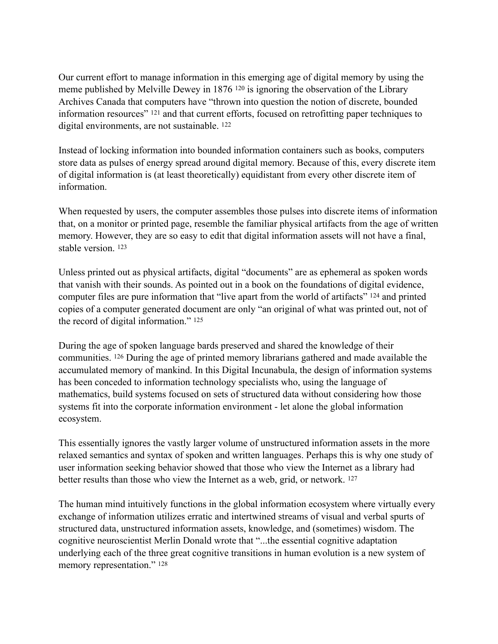<span id="page-5-1"></span><span id="page-5-0"></span>Our current effort to manage information in this emerging age of digital memory by using the meme published by Melville Dewey in 1876<sup>[120](#page-14-1)</sup> is ignoring the observation of the Library Archives Canada that computers have "thrown into question the notion of discrete, bounded informationresources"  $121$  and that current efforts, focused on retrofitting paper techniques to digital environments, are not sustainable. [122](#page-14-3)

<span id="page-5-2"></span>Instead of locking information into bounded information containers such as books, computers store data as pulses of energy spread around digital memory. Because of this, every discrete item of digital information is (at least theoretically) equidistant from every other discrete item of information.

When requested by users, the computer assembles those pulses into discrete items of information that, on a monitor or printed page, resemble the familiar physical artifacts from the age of written memory. However, they are so easy to edit that digital information assets will not have a final, stable version. [123](#page-14-4)

<span id="page-5-4"></span><span id="page-5-3"></span>Unless printed out as physical artifacts, digital "documents" are as ephemeral as spoken words that vanish with their sounds. As pointed out in a book on the foundations of digital evidence, computer files are pure information that "live apart from the world of artifacts" [124](#page-14-5) and printed copies of a computer generated document are only "an original of what was printed out, not of the record of digital information." [125](#page-14-6)

<span id="page-5-6"></span><span id="page-5-5"></span>During the age of spoken language bards preserved and shared the knowledge of their communities. <sup>[126](#page-14-7)</sup> During the age of printed memory librarians gathered and made available the accumulated memory of mankind. In this Digital Incunabula, the design of information systems has been conceded to information technology specialists who, using the language of mathematics, build systems focused on sets of structured data without considering how those systems fit into the corporate information environment - let alone the global information ecosystem.

This essentially ignores the vastly larger volume of unstructured information assets in the more relaxed semantics and syntax of spoken and written languages. Perhaps this is why one study of user information seeking behavior showed that those who view the Internet as a library had better results than those who view the Internet as a web, grid, or network. [127](#page-14-8)

<span id="page-5-8"></span><span id="page-5-7"></span>The human mind intuitively functions in the global information ecosystem where virtually every exchange of information utilizes erratic and intertwined streams of visual and verbal spurts of structured data, unstructured information assets, knowledge, and (sometimes) wisdom. The cognitive neuroscientist Merlin Donald wrote that "...the essential cognitive adaptation underlying each of the three great cognitive transitions in human evolution is a new system of memory representation." [128](#page-14-9)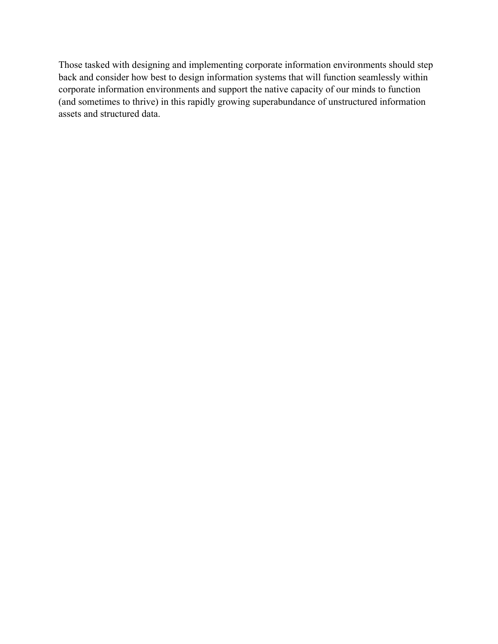Those tasked with designing and implementing corporate information environments should step back and consider how best to design information systems that will function seamlessly within corporate information environments and support the native capacity of our minds to function (and sometimes to thrive) in this rapidly growing superabundance of unstructured information assets and structured data.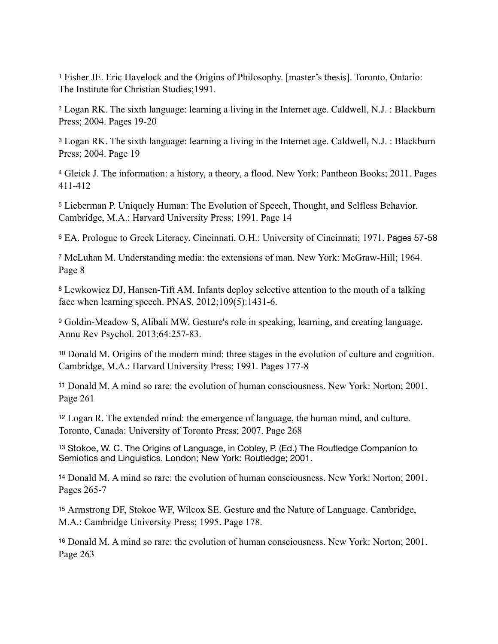<span id="page-7-0"></span>Fisher JE. Eric Havelock and the Origins of Philosophy. [master's thesis]. Toronto, Ontario: [1](#page-0-0) The Institute for Christian Studies;1991.

<span id="page-7-1"></span> Logan RK. The sixth language: learning a living in the Internet age. Caldwell, N.J. : Blackburn [2](#page-0-1) Press; 2004. Pages 19-20

<span id="page-7-2"></span>Logan RK. The sixth language: learning a living in the Internet age. Caldwell, N.J. : Blackburn [3](#page-0-2) Press; 2004. Page 19

<span id="page-7-3"></span>Gleick J. The information: a history, a theory, a flood. New York: Pantheon Books; 2011. Pages [4](#page-0-3) 411-412

<span id="page-7-4"></span><sup>[5](#page-0-4)</sup> Lieberman P. Uniquely Human: The Evolution of Speech, Thought, and Selfless Behavior. Cambridge, M.A.: Harvard University Press; 1991. Page 14

<span id="page-7-5"></span>[6](#page-0-5) EA. Prologue to Greek Literacy. Cincinnati, O.H.: University of Cincinnati; 1971. Pages 57-58

<span id="page-7-6"></span>McLuhan M. Understanding media: the extensions of man. New York: McGraw-Hill; 1964. [7](#page-0-6) Page 8

<span id="page-7-7"></span>Lewkowicz DJ, Hansen-Tift AM. Infants deploy selective attention to the mouth of a talking [8](#page-0-7) face when learning speech. PNAS. 2012;109(5):1431-6.

<span id="page-7-8"></span>Goldin-Meadow S, Alibali MW. Gesture's role in speaking, learning, and creating language. [9](#page-0-8) Annu Rev Psychol. 2013;64:257-83.

<span id="page-7-9"></span><sup>[10](#page-0-9)</sup> Donald M. Origins of the modern mind: three stages in the evolution of culture and cognition. Cambridge, M.A.: Harvard University Press; 1991. Pages 177-8

<span id="page-7-10"></span><sup>[11](#page-0-10)</sup> Donald M. A mind so rare: the evolution of human consciousness. New York: Norton; 2001. Page 261

<span id="page-7-11"></span><sup>[12](#page-0-11)</sup> Logan R. The extended mind: the emergence of language, the human mind, and culture. Toronto, Canada: University of Toronto Press; 2007. Page 268

<span id="page-7-12"></span><sup>[13](#page-0-12)</sup> Stokoe, W. C. The Origins of Language, in Cobley, P. (Ed.) The Routledge Companion to Semiotics and Linguistics. London; New York: Routledge; 2001.

<span id="page-7-13"></span><sup>[14](#page-0-13)</sup> Donald M. A mind so rare: the evolution of human consciousness. New York: Norton; 2001. Pages 265-7

<span id="page-7-14"></span>Armstrong DF, Stokoe WF, Wilcox SE. Gesture and the Nature of Language. Cambridge, [15](#page-0-14) M.A.: Cambridge University Press; 1995. Page 178.

<span id="page-7-15"></span><sup>[16](#page-0-15)</sup> Donald M. A mind so rare: the evolution of human consciousness. New York: Norton; 2001. Page 263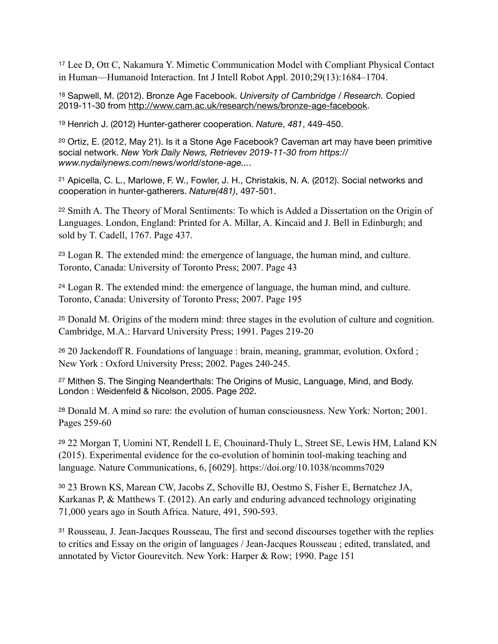<span id="page-8-0"></span><sup>[17](#page-0-16)</sup> Lee D, Ott C, Nakamura Y. Mimetic Communication Model with Compliant Physical Contact in Human—Humanoid Interaction. Int J Intell Robot Appl. 2010;29(13):1684–1704.

<span id="page-8-1"></span><sup>[18](#page-0-17)</sup> Sapwell, M. (2012). Bronze Age Facebook. *University of Cambridge / Research.* Copied 2019-11-30 from [http://www.cam.ac.uk/research/news/bronze-age-facebook.](http://www.cam.ac.uk/research/news/bronze-age-facebook)

<span id="page-8-2"></span><sup>[19](#page-0-18)</sup> Henrich J. (2012) Hunter-gatherer cooperation. *Nature*, 481, 449-450.

<span id="page-8-3"></span> $20$  Ortiz, E. (2012, May 21). Is it a Stone Age Facebook? Caveman art may have been primitive social network. *New York Daily News, Retrievev 2019-11-30 from https:// www.nydailynews.com/news/world/stone-age...*.

<span id="page-8-4"></span><sup>[21](#page-0-20)</sup> Apicella, C. L., Marlowe, F. W., Fowler, J. H., Christakis, N. A. (2012). Social networks and cooperation in hunter-gatherers. *Nature(481)*, 497-501.

<span id="page-8-5"></span><sup>[22](#page-0-21)</sup> Smith A. The Theory of Moral Sentiments: To which is Added a Dissertation on the Origin of Languages. London, England: Printed for A. Millar, A. Kincaid and J. Bell in Edinburgh; and sold by T. Cadell, 1767. Page 437.

<span id="page-8-6"></span>Logan R. The extended mind: the emergence of language, the human mind, and culture. [23](#page-0-22) Toronto, Canada: University of Toronto Press; 2007. Page 43

<span id="page-8-7"></span>Logan R. The extended mind: the emergence of language, the human mind, and culture. [24](#page-0-23) Toronto, Canada: University of Toronto Press; 2007. Page 195

<span id="page-8-8"></span>Donald M. Origins of the modern mind: three stages in the evolution of culture and cognition. [25](#page-0-24) Cambridge, M.A.: Harvard University Press; 1991. Pages 219-20

<span id="page-8-9"></span><sup>[26](#page-0-25)</sup> 20 Jackendoff R. Foundations of language : brain, meaning, grammar, evolution. Oxford ; New York : Oxford University Press; 2002. Pages 240-245.

<span id="page-8-10"></span>[27](#page-0-26) Mithen S. The Singing Neanderthals: The Origins of Music, Language, Mind, and Body. London : Weidenfeld & Nicolson, 2005. Page 202.

<span id="page-8-11"></span><sup>[28](#page-1-0)</sup> Donald M. A mind so rare: the evolution of human consciousness. New York: Norton; 2001. Pages 259-60

<span id="page-8-12"></span>22 Morgan T, Uomini NT, Rendell L E, Chouinard-Thuly L, Street SE, Lewis HM, Laland KN [29](#page-1-1) (2015). Experimental evidence for the co-evolution of hominin tool-making teaching and language. Nature Communications, 6, [6029]. https://doi.org/10.1038/ncomms7029

<span id="page-8-13"></span>23 Brown KS, Marean CW, Jacobs Z, Schoville BJ, Oestmo S, Fisher E, Bernatchez JA, [30](#page-1-2) Karkanas P, & Matthews T. (2012). An early and enduring advanced technology originating 71,000 years ago in South Africa. Nature, 491, 590-593.

<span id="page-8-14"></span>Rousseau, J. Jean-Jacques Rousseau, The first and second discourses together with the replies [31](#page-1-3) to critics and Essay on the origin of languages / Jean-Jacques Rousseau ; edited, translated, and annotated by Victor Gourevitch. New York: Harper & Row; 1990. Page 151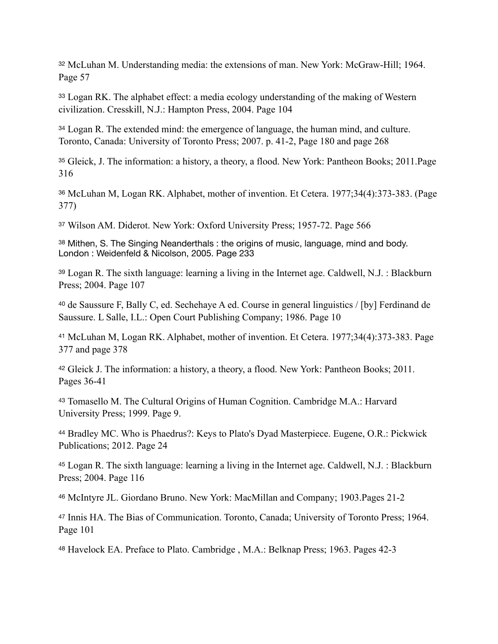<span id="page-9-0"></span>[32](#page-1-4) McLuhan M. Understanding media: the extensions of man. New York: McGraw-Hill; 1964. Page 57

<span id="page-9-1"></span>Logan RK. The alphabet effect: a media ecology understanding of the making of Western [33](#page-1-5) civilization. Cresskill, N.J.: Hampton Press, 2004. Page 104

<span id="page-9-2"></span><sup>[34](#page-1-6)</sup> Logan R. The extended mind: the emergence of language, the human mind, and culture. Toronto, Canada: University of Toronto Press; 2007. p. 41-2, Page 180 and page 268

<span id="page-9-3"></span><sup>[35](#page-1-7)</sup> Gleick, J. The information: a history, a theory, a flood. New York: Pantheon Books; 2011. Page 316

<span id="page-9-4"></span>McLuhan M, Logan RK. Alphabet, mother of invention. Et Cetera. 1977;34(4):373-383. (Page [36](#page-1-8) 377)

<span id="page-9-5"></span>[37](#page-1-9) Wilson AM. Diderot. New York: Oxford University Press; 1957-72. Page 566

<span id="page-9-6"></span>[38](#page-1-10) Mithen, S. The Singing Neanderthals: the origins of music, language, mind and body. London : Weidenfeld & Nicolson, 2005. Page 233

<span id="page-9-7"></span>Logan R. The sixth language: learning a living in the Internet age. Caldwell, N.J. : Blackburn [39](#page-1-11) Press; 2004. Page 107

<span id="page-9-8"></span><sup>[40](#page-1-12)</sup> de Saussure F, Bally C, ed. Sechehaye A ed. Course in general linguistics / [by] Ferdinand de Saussure. L Salle, I.L.: Open Court Publishing Company; 1986. Page 10

<span id="page-9-9"></span><sup>[41](#page-1-13)</sup> McLuhan M, Logan RK. Alphabet, mother of invention. Et Cetera. 1977;34(4):373-383. Page 377 and page 378

<span id="page-9-10"></span><sup>[42](#page-1-14)</sup> Gleick J. The information: a history, a theory, a flood. New York: Pantheon Books; 2011. Pages 36-41

<span id="page-9-11"></span><sup>[43](#page-1-15)</sup> Tomasello M. The Cultural Origins of Human Cognition. Cambridge M.A.: Harvard University Press; 1999. Page 9.

<span id="page-9-12"></span>[44](#page-1-16) Bradley MC. Who is Phaedrus?: Keys to Plato's Dyad Masterpiece. Eugene, O.R.: Pickwick Publications; 2012. Page 24

<span id="page-9-13"></span>Logan R. The sixth language: learning a living in the Internet age. Caldwell, N.J. : Blackburn [45](#page-1-17) Press; 2004. Page 116

<span id="page-9-14"></span>[46](#page-1-18) McIntyre JL. Giordano Bruno. New York: MacMillan and Company; 1903.Pages 21-2

<span id="page-9-15"></span><sup>[47](#page-1-19)</sup> Innis HA. The Bias of Communication. Toronto, Canada; University of Toronto Press; 1964. Page 101

<span id="page-9-16"></span>[48](#page-1-20) Havelock EA. Preface to Plato. Cambridge , M.A.: Belknap Press; 1963. Pages 42-3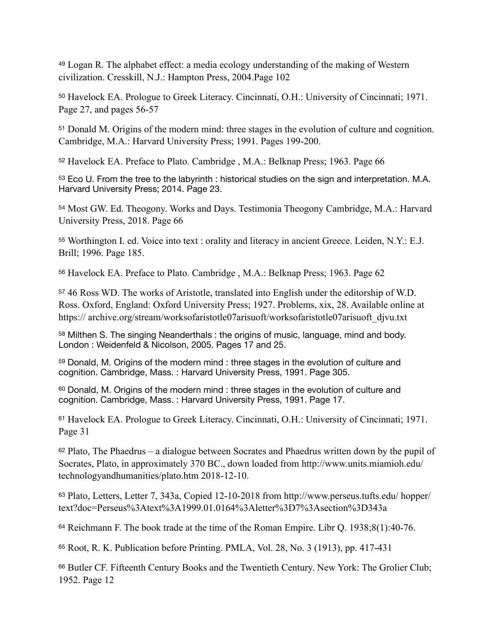<span id="page-10-0"></span>Logan R. The alphabet effect: a media ecology understanding of the making of Western [49](#page-1-21) civilization. Cresskill, N.J.: Hampton Press, 2004.Page 102

<span id="page-10-1"></span><sup>[50](#page-1-22)</sup> Havelock EA. Prologue to Greek Literacy. Cincinnati, O.H.: University of Cincinnati; 1971. Page 27, and pages 56-57

<span id="page-10-2"></span><sup>[51](#page-1-23)</sup> Donald M. Origins of the modern mind: three stages in the evolution of culture and cognition. Cambridge, M.A.: Harvard University Press; 1991. Pages 199-200.

<span id="page-10-3"></span>[52](#page-1-24) Havelock EA. Preface to Plato. Cambridge , M.A.: Belknap Press; 1963. Page 66

<span id="page-10-4"></span>[53](#page-1-25) Eco U. From the tree to the labyrinth : historical studies on the sign and interpretation. M.A. Harvard University Press; 2014. Page 23.

<span id="page-10-5"></span><sup>[54](#page-1-26)</sup> Most GW. Ed. Theogony. Works and Days. Testimonia Theogony Cambridge, M.A.: Harvard University Press, 2018. Page 66

<span id="page-10-6"></span>[55](#page-1-27) Worthington I. ed. Voice into text : orality and literacy in ancient Greece. Leiden, N.Y.: E.J. Brill; 1996. Page 185.

<span id="page-10-7"></span>[56](#page-1-28) Havelock EA. Preface to Plato. Cambridge , M.A.: Belknap Press; 1963. Page 62

<span id="page-10-8"></span>46 Ross WD. The works of Aristotle, translated into English under the editorship of W.D. [57](#page-1-29) Ross. Oxford, England: Oxford University Press; 1927. Problems, xix, 28. Available online at https:// archive.org/stream/worksofaristotle07arisuoft/worksofaristotle07arisuoft\_djvu.txt

<span id="page-10-9"></span>[58](#page-1-30) Milthen S. The singing Neanderthals : the origins of music, language, mind and body. London : Weidenfeld & Nicolson, 2005. Pages 17 and 25.

<span id="page-10-10"></span>[59](#page-2-0) Donald, M. Origins of the modern mind : three stages in the evolution of culture and cognition. Cambridge, Mass. : Harvard University Press, 1991. Page 305.

<span id="page-10-11"></span>[60](#page-2-1) Donald, M. Origins of the modern mind : three stages in the evolution of culture and cognition. Cambridge, Mass. : Harvard University Press, 1991. Page 17.

<span id="page-10-12"></span><sup>[61](#page-2-2)</sup> Havelock EA. Prologue to Greek Literacy. Cincinnati, O.H.: University of Cincinnati; 1971. Page 31

<span id="page-10-13"></span> $62$  Plato, The Phaedrus – a dialogue between Socrates and Phaedrus written down by the pupil of Socrates, Plato, in approximately 370 BC., down loaded from http://www.units.miamioh.edu/ technologyandhumanities/plato.htm 2018-12-10.

<span id="page-10-14"></span>Plato, Letters, Letter 7, 343a, Copied 12-10-2018 from http://www.perseus.tufts.edu/ hopper/ [63](#page-2-4) text?doc=Perseus%3Atext%3A1999.01.0164%3Aletter%3D7%3Asection%3D343a

<span id="page-10-15"></span> $64$  Reichmann F. The book trade at the time of the Roman Empire. Libr Q. 1938;8(1):40-76.

<span id="page-10-16"></span>[65](#page-2-6) Root, R. K. Publication before Printing. PMLA, Vol. 28, No. 3 (1913), pp. 417-431

<span id="page-10-17"></span>[66](#page-2-7) Butler CF. Fifteenth Century Books and the Twentieth Century. New York: The Grolier Club; 1952. Page 12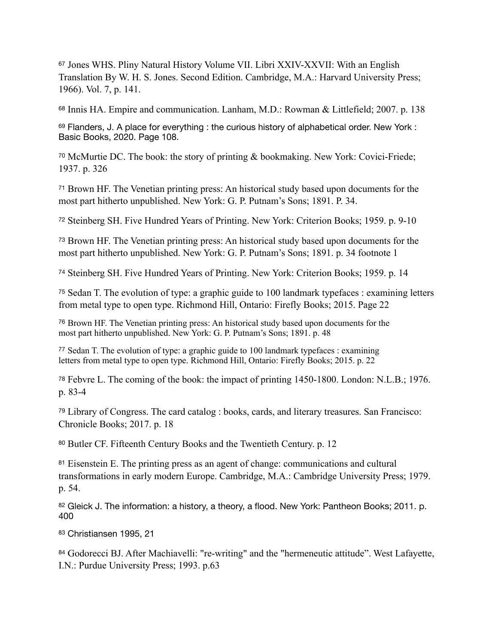<span id="page-11-0"></span>Jones WHS. Pliny Natural History Volume VII. Libri XXIV-XXVII: With an English [67](#page-2-8) Translation By W. H. S. Jones. Second Edition. Cambridge, M.A.: Harvard University Press; 1966). Vol. 7, p. 141.

<span id="page-11-1"></span>[68](#page-2-9) Innis HA. Empire and communication. Lanham, M.D.: Rowman & Littlefield; 2007. p. 138

<span id="page-11-2"></span>[69](#page-2-10) Flanders, J. A place for everything : the curious history of alphabetical order. New York : Basic Books, 2020. Page 108.

<span id="page-11-3"></span><sup>[70](#page-2-11)</sup> McMurtie DC. The book: the story of printing & bookmaking. New York: Covici-Friede; 1937. p. 326

<span id="page-11-4"></span>Brown HF. The Venetian printing press: An historical study based upon documents for the [71](#page-2-12) most part hitherto unpublished. New York: G. P. Putnam's Sons; 1891. P. 34.

<span id="page-11-5"></span>[72](#page-2-13) Steinberg SH. Five Hundred Years of Printing. New York: Criterion Books; 1959. p. 9-10

<span id="page-11-6"></span><sup>[73](#page-2-14)</sup> Brown HF. The Venetian printing press: An historical study based upon documents for the most part hitherto unpublished. New York: G. P. Putnam's Sons; 1891. p. 34 footnote 1

<span id="page-11-7"></span>[74](#page-2-15) Steinberg SH. Five Hundred Years of Printing. New York: Criterion Books; 1959. p. 14

<span id="page-11-8"></span><sup>[75](#page-2-16)</sup> Sedan T. The evolution of type: a graphic guide to 100 landmark typefaces : examining letters from metal type to open type. Richmond Hill, Ontario: Firefly Books; 2015. Page 22

<span id="page-11-9"></span><sup>[76](#page-2-17)</sup> Brown HF. The Venetian printing press: An historical study based upon documents for the most part hitherto unpublished. New York: G. P. Putnam's Sons; 1891. p. 48

<span id="page-11-10"></span> $77$  Sedan T. The evolution of type: a graphic guide to 100 landmark typefaces : examining letters from metal type to open type. Richmond Hill, Ontario: Firefly Books; 2015. p. 22

<span id="page-11-11"></span><sup>[78](#page-2-19)</sup> Febvre L. The coming of the book: the impact of printing 1450-1800. London: N.L.B.; 1976. p. 83-4

<span id="page-11-12"></span>Library of Congress. The card catalog : books, cards, and literary treasures. San Francisco: [79](#page-2-20) Chronicle Books; 2017. p. 18

<span id="page-11-13"></span>[80](#page-3-0) Butler CF. Fifteenth Century Books and the Twentieth Century. p. 12

<span id="page-11-14"></span><sup>[81](#page-3-1)</sup> Eisenstein E. The printing press as an agent of change: communications and cultural transformations in early modern Europe. Cambridge, M.A.: Cambridge University Press; 1979. p. 54.

<span id="page-11-15"></span>[82](#page-3-2) Gleick J. The information: a history, a theory, a flood. New York: Pantheon Books; 2011. p. 400

<span id="page-11-16"></span>[83](#page-3-3) Christiansen 1995, 21

<span id="page-11-17"></span>[84](#page-3-4) Godorecci BJ. After Machiavelli: "re-writing" and the "hermeneutic attitude". West Lafayette, I.N.: Purdue University Press; 1993. p.63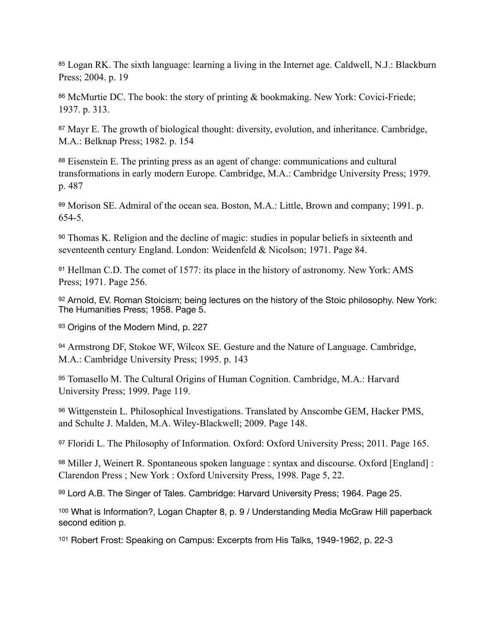<span id="page-12-0"></span>[85](#page-3-5) Logan RK. The sixth language: learning a living in the Internet age. Caldwell, N.J.: Blackburn Press; 2004. p. 19

<span id="page-12-1"></span>[86](#page-3-6) McMurtie DC. The book: the story of printing & bookmaking. New York: Covici-Friede; 1937. p. 313.

<span id="page-12-2"></span><sup>[87](#page-3-7)</sup> Mayr E. The growth of biological thought: diversity, evolution, and inheritance. Cambridge, M.A.: Belknap Press; 1982. p. 154

<span id="page-12-3"></span>[88](#page-3-8) Eisenstein E. The printing press as an agent of change: communications and cultural transformations in early modern Europe. Cambridge, M.A.: Cambridge University Press; 1979. p. 487

<span id="page-12-4"></span>[89](#page-3-9) Morison SE. Admiral of the ocean sea. Boston, M.A.: Little, Brown and company; 1991. p. 654-5.

<span id="page-12-5"></span>Thomas K. Religion and the decline of magic: studies in popular beliefs in sixteenth and [90](#page-3-10) seventeenth century England. London: Weidenfeld & Nicolson; 1971. Page 84.

<span id="page-12-6"></span>[91](#page-3-11) Hellman C.D. The comet of 1577: its place in the history of astronomy. New York: AMS Press; 1971. Page 256.

<span id="page-12-7"></span>[92](#page-3-12) Arnold, EV. Roman Stoicism; being lectures on the history of the Stoic philosophy. New York: The Humanities Press; 1958. Page 5.

<span id="page-12-8"></span>[93](#page-3-13) Origins of the Modern Mind, p. 227

<span id="page-12-9"></span>Armstrong DF, Stokoe WF, Wilcox SE. Gesture and the Nature of Language. Cambridge, [94](#page-3-14) M.A.: Cambridge University Press; 1995. p. 143

<span id="page-12-10"></span>[95](#page-3-15) Tomasello M. The Cultural Origins of Human Cognition. Cambridge, M.A.: Harvard University Press; 1999. Page 119.

<span id="page-12-11"></span>Wittgenstein L. Philosophical Investigations. Translated by Anscombe GEM, Hacker PMS, [96](#page-3-16) and Schulte J. Malden, M.A. Wiley-Blackwell; 2009. Page 148.

<span id="page-12-12"></span>[97](#page-3-17) Floridi L. The Philosophy of Information. Oxford: Oxford University Press; 2011. Page 165.

<span id="page-12-13"></span>[98](#page-3-18) Miller J, Weinert R. Spontaneous spoken language : syntax and discourse. Oxford [England] : Clarendon Press ; New York : Oxford University Press, 1998. Page 5, 22.

<span id="page-12-14"></span>[99](#page-3-19) Lord A.B. The Singer of Tales. Cambridge: Harvard University Press; 1964. Page 25.

<span id="page-12-15"></span><sup>[100](#page-3-20)</sup> What is Information?, Logan Chapter 8, p. 9 / Understanding Media McGraw Hill paperback second edition p.

<span id="page-12-16"></span>[101](#page-3-21) Robert Frost: Speaking on Campus: Excerpts from His Talks, 1949-1962, p. 22-3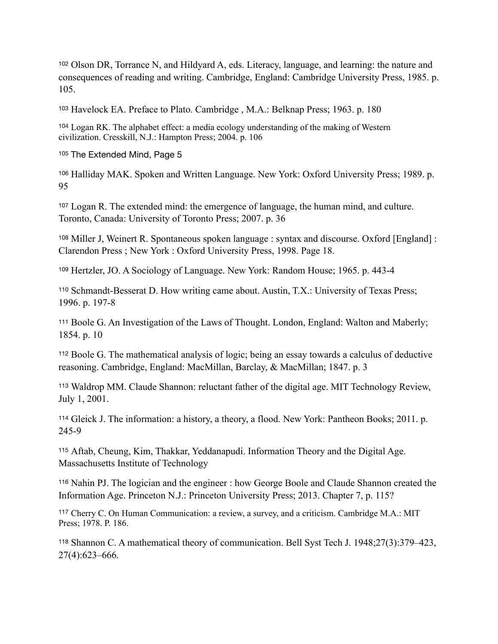<span id="page-13-0"></span><sup>[102](#page-3-22)</sup> Olson DR, Torrance N, and Hildyard A, eds. Literacy, language, and learning: the nature and consequences of reading and writing. Cambridge, England: Cambridge University Press, 1985. p. 105.

<span id="page-13-1"></span>[103](#page-3-23) Havelock EA. Preface to Plato. Cambridge , M.A.: Belknap Press; 1963. p. 180

<span id="page-13-2"></span>Logan RK. The alphabet effect: a media ecology understanding of the making of Western [104](#page-3-24) civilization. Cresskill, N.J.: Hampton Press; 2004. p. 106

<span id="page-13-3"></span>[105](#page-3-25) The Extended Mind, Page 5

<span id="page-13-4"></span>[106](#page-3-26) Halliday MAK. Spoken and Written Language. New York: Oxford University Press; 1989. p. 95

<span id="page-13-5"></span>Logan R. The extended mind: the emergence of language, the human mind, and culture. [107](#page-3-27) Toronto, Canada: University of Toronto Press; 2007. p. 36

<span id="page-13-6"></span>Miller J, Weinert R. Spontaneous spoken language : syntax and discourse. Oxford [England] : [108](#page-3-28) Clarendon Press ; New York : Oxford University Press, 1998. Page 18.

<span id="page-13-7"></span>[109](#page-3-29) Hertzler, JO. A Sociology of Language. New York: Random House; 1965. p. 443-4

<span id="page-13-8"></span><sup>[110](#page-4-0)</sup> Schmandt-Besserat D. How writing came about. Austin, T.X.: University of Texas Press; 1996. p. 197-8

<span id="page-13-9"></span><sup>[111](#page-4-1)</sup> Boole G. An Investigation of the Laws of Thought. London, England: Walton and Maberly; 1854. p. 10

<span id="page-13-10"></span>Boole G. The mathematical analysis of logic; being an essay towards a calculus of deductive [112](#page-4-2) reasoning. Cambridge, England: MacMillan, Barclay, & MacMillan; 1847. p. 3

<span id="page-13-11"></span>Waldrop MM. Claude Shannon: reluctant father of the digital age. MIT Technology Review, [113](#page-4-3) July 1, 2001.

<span id="page-13-12"></span><sup>[114](#page-4-4)</sup> Gleick J. The information: a history, a theory, a flood. New York: Pantheon Books; 2011. p. 245-9

<span id="page-13-13"></span>Aftab, Cheung, Kim, Thakkar, Yeddanapudi. Information Theory and the Digital Age. [115](#page-4-5) Massachusetts Institute of Technology

<span id="page-13-14"></span>[116](#page-4-6) Nahin PJ. The logician and the engineer : how George Boole and Claude Shannon created the Information Age. Princeton N.J.: Princeton University Press; 2013. Chapter 7, p. 115?

<span id="page-13-15"></span><sup>[117](#page-4-7)</sup> Cherry C. On Human Communication: a review, a survey, and a criticism. Cambridge M.A.: MIT Press; 1978. P. 186.

<span id="page-13-16"></span>Shannon C. A mathematical theory of communication. Bell Syst Tech J. 1948;27(3):379–423, [118](#page-4-8) 27(4):623–666.